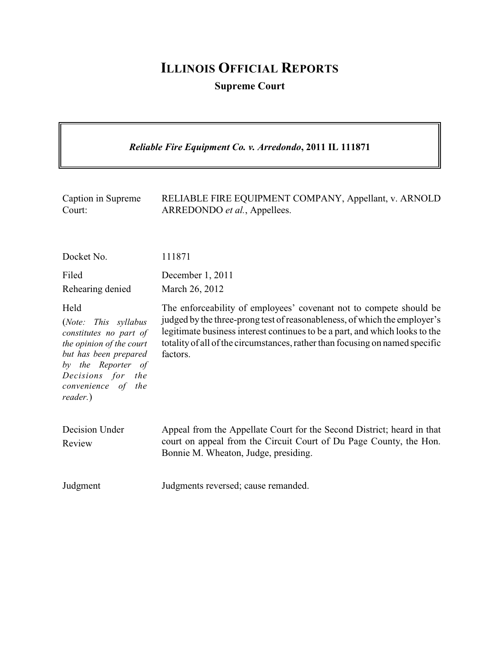## **ILLINOIS OFFICIAL REPORTS**

**Supreme Court**

 $\overline{\mathbf{I}}$ 

| Reliable Fire Equipment Co. v. Arredondo, 2011 IL 111871                                                                                                                                 |                                                                                                                                                                                                                                                                                                                            |  |
|------------------------------------------------------------------------------------------------------------------------------------------------------------------------------------------|----------------------------------------------------------------------------------------------------------------------------------------------------------------------------------------------------------------------------------------------------------------------------------------------------------------------------|--|
| Caption in Supreme<br>Court:                                                                                                                                                             | RELIABLE FIRE EQUIPMENT COMPANY, Appellant, v. ARNOLD<br>ARREDONDO et al., Appellees.                                                                                                                                                                                                                                      |  |
| Docket No.                                                                                                                                                                               | 111871                                                                                                                                                                                                                                                                                                                     |  |
| Filed<br>Rehearing denied                                                                                                                                                                | December 1, 2011<br>March 26, 2012                                                                                                                                                                                                                                                                                         |  |
| Held<br>(Note: This syllabus<br>constitutes no part of<br>the opinion of the court<br>but has been prepared<br>by the Reporter of<br>Decisions for the<br>convenience of the<br>reader.) | The enforceability of employees' covenant not to compete should be<br>judged by the three-prong test of reasonableness, of which the employer's<br>legitimate business interest continues to be a part, and which looks to the<br>totality of all of the circumstances, rather than focusing on named specific<br>factors. |  |
| Decision Under<br>Review                                                                                                                                                                 | Appeal from the Appellate Court for the Second District; heard in that<br>court on appeal from the Circuit Court of Du Page County, the Hon.<br>Bonnie M. Wheaton, Judge, presiding.                                                                                                                                       |  |
| Judgment                                                                                                                                                                                 | Judgments reversed; cause remanded.                                                                                                                                                                                                                                                                                        |  |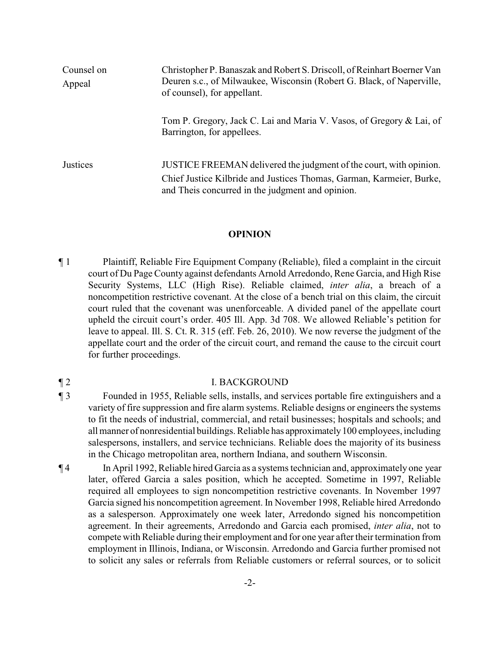| Counsel on<br>Appeal | Christopher P. Banaszak and Robert S. Driscoll, of Reinhart Boerner Van<br>Deuren s.c., of Milwaukee, Wisconsin (Robert G. Black, of Naperville,<br>of counsel), for appellant.                |
|----------------------|------------------------------------------------------------------------------------------------------------------------------------------------------------------------------------------------|
|                      | Tom P. Gregory, Jack C. Lai and Maria V. Vasos, of Gregory & Lai, of<br>Barrington, for appellees.                                                                                             |
| Justices             | JUSTICE FREEMAN delivered the judgment of the court, with opinion.<br>Chief Justice Kilbride and Justices Thomas, Garman, Karmeier, Burke,<br>and Theis concurred in the judgment and opinion. |

## **OPINION**

¶ 1 Plaintiff, Reliable Fire Equipment Company (Reliable), filed a complaint in the circuit court of Du Page County against defendants Arnold Arredondo, Rene Garcia, and High Rise Security Systems, LLC (High Rise). Reliable claimed, *inter alia*, a breach of a noncompetition restrictive covenant. At the close of a bench trial on this claim, the circuit court ruled that the covenant was unenforceable. A divided panel of the appellate court upheld the circuit court's order. 405 Ill. App. 3d 708. We allowed Reliable's petition for leave to appeal. Ill. S. Ct. R. 315 (eff. Feb. 26, 2010). We now reverse the judgment of the appellate court and the order of the circuit court, and remand the cause to the circuit court for further proceedings.

## ¶ 2 I. BACKGROUND

- ¶ 3 Founded in 1955, Reliable sells, installs, and services portable fire extinguishers and a variety of fire suppression and fire alarm systems. Reliable designs or engineers the systems to fit the needs of industrial, commercial, and retail businesses; hospitals and schools; and all manner of nonresidential buildings. Reliable has approximately100 employees, including salespersons, installers, and service technicians. Reliable does the majority of its business in the Chicago metropolitan area, northern Indiana, and southern Wisconsin.
- ¶ 4 In April 1992, Reliable hired Garcia as a systems technician and, approximately one year later, offered Garcia a sales position, which he accepted. Sometime in 1997, Reliable required all employees to sign noncompetition restrictive covenants. In November 1997 Garcia signed his noncompetition agreement. In November 1998, Reliable hired Arredondo as a salesperson. Approximately one week later, Arredondo signed his noncompetition agreement. In their agreements, Arredondo and Garcia each promised, *inter alia*, not to compete with Reliable during their employment and for one year after their termination from employment in Illinois, Indiana, or Wisconsin. Arredondo and Garcia further promised not to solicit any sales or referrals from Reliable customers or referral sources, or to solicit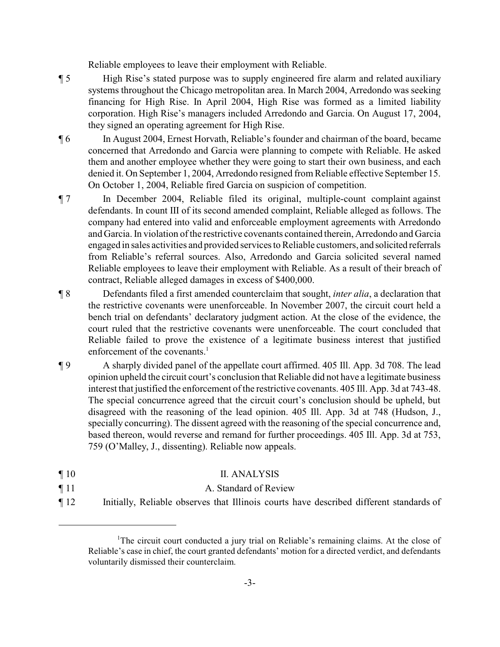Reliable employees to leave their employment with Reliable.

- ¶ 5 High Rise's stated purpose was to supply engineered fire alarm and related auxiliary systems throughout the Chicago metropolitan area. In March 2004, Arredondo was seeking financing for High Rise. In April 2004, High Rise was formed as a limited liability corporation. High Rise's managers included Arredondo and Garcia. On August 17, 2004, they signed an operating agreement for High Rise.
- ¶ 6 In August 2004, Ernest Horvath, Reliable's founder and chairman of the board, became concerned that Arredondo and Garcia were planning to compete with Reliable. He asked them and another employee whether they were going to start their own business, and each denied it. On September 1, 2004, Arredondo resigned from Reliable effective September 15. On October 1, 2004, Reliable fired Garcia on suspicion of competition.
- ¶ 7 In December 2004, Reliable filed its original, multiple-count complaint against defendants. In count III of its second amended complaint, Reliable alleged as follows. The company had entered into valid and enforceable employment agreements with Arredondo and Garcia. In violation of the restrictive covenants contained therein, Arredondo and Garcia engaged in sales activities and provided services to Reliable customers, and solicited referrals from Reliable's referral sources. Also, Arredondo and Garcia solicited several named Reliable employees to leave their employment with Reliable. As a result of their breach of contract, Reliable alleged damages in excess of \$400,000.
- ¶ 8 Defendants filed a first amended counterclaim that sought, *inter alia*, a declaration that the restrictive covenants were unenforceable. In November 2007, the circuit court held a bench trial on defendants' declaratory judgment action. At the close of the evidence, the court ruled that the restrictive covenants were unenforceable. The court concluded that Reliable failed to prove the existence of a legitimate business interest that justified enforcement of the covenants. $<sup>1</sup>$ </sup>
- ¶ 9 A sharply divided panel of the appellate court affirmed. 405 Ill. App. 3d 708. The lead opinion upheld the circuit court's conclusion that Reliable did not have a legitimate business interest that justified the enforcement of the restrictive covenants. 405 Ill. App. 3d at 743-48. The special concurrence agreed that the circuit court's conclusion should be upheld, but disagreed with the reasoning of the lead opinion. 405 Ill. App. 3d at 748 (Hudson, J., specially concurring). The dissent agreed with the reasoning of the special concurrence and, based thereon, would reverse and remand for further proceedings. 405 Ill. App. 3d at 753, 759 (O'Malley, J., dissenting). Reliable now appeals.
- ¶ 10 II. ANALYSIS
- ¶ 11 A. Standard of Review
- ¶ 12 Initially, Reliable observes that Illinois courts have described different standards of

<sup>&</sup>lt;sup>1</sup>The circuit court conducted a jury trial on Reliable's remaining claims. At the close of Reliable's case in chief, the court granted defendants' motion for a directed verdict, and defendants voluntarily dismissed their counterclaim.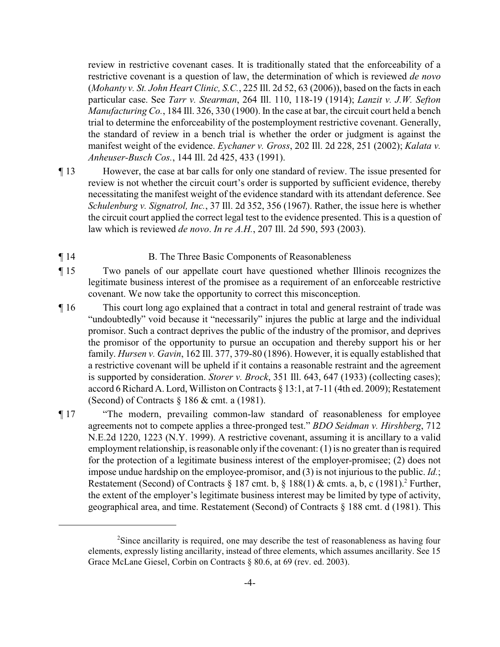review in restrictive covenant cases. It is traditionally stated that the enforceability of a restrictive covenant is a question of law, the determination of which is reviewed *de novo* (*Mohanty v. St. John Heart Clinic, S.C.*, 225 Ill. 2d 52, 63 (2006)), based on the facts in each particular case. See *Tarr v. Stearman*, 264 Ill. 110, 118-19 (1914); *Lanzit v. J.W. Sefton Manufacturing Co.*, 184 Ill. 326, 330 (1900). In the case at bar, the circuit court held a bench trial to determine the enforceability of the postemployment restrictive covenant. Generally, the standard of review in a bench trial is whether the order or judgment is against the manifest weight of the evidence. *Eychaner v. Gross*, 202 Ill. 2d 228, 251 (2002); *Kalata v. Anheuser-Busch Cos.*, 144 Ill. 2d 425, 433 (1991).

- ¶ 13 However, the case at bar calls for only one standard of review. The issue presented for review is not whether the circuit court's order is supported by sufficient evidence, thereby necessitating the manifest weight of the evidence standard with its attendant deference. See *Schulenburg v. Signatrol, Inc.*, 37 Ill. 2d 352, 356 (1967). Rather, the issue here is whether the circuit court applied the correct legal test to the evidence presented. This is a question of law which is reviewed *de novo*. *In re A.H.*, 207 Ill. 2d 590, 593 (2003).
- ¶ 14 B. The Three Basic Components of Reasonableness
- ¶ 15 Two panels of our appellate court have questioned whether Illinois recognizes the legitimate business interest of the promisee as a requirement of an enforceable restrictive covenant. We now take the opportunity to correct this misconception.
- ¶ 16 This court long ago explained that a contract in total and general restraint of trade was "undoubtedly" void because it "necessarily" injures the public at large and the individual promisor. Such a contract deprives the public of the industry of the promisor, and deprives the promisor of the opportunity to pursue an occupation and thereby support his or her family. *Hursen v. Gavin*, 162 Ill. 377, 379-80 (1896). However, it is equally established that a restrictive covenant will be upheld if it contains a reasonable restraint and the agreement is supported by consideration. *Storer v. Brock*, 351 Ill. 643, 647 (1933) (collecting cases); accord 6 Richard A. Lord, Williston on Contracts § 13:1, at 7-11 (4th ed. 2009); Restatement (Second) of Contracts § 186 & cmt. a (1981).
- ¶ 17 "The modern, prevailing common-law standard of reasonableness for employee agreements not to compete applies a three-pronged test." *BDO Seidman v. Hirshberg*, 712 N.E.2d 1220, 1223 (N.Y. 1999). A restrictive covenant, assuming it is ancillary to a valid employment relationship, is reasonable only if the covenant: (1) is no greater than is required for the protection of a legitimate business interest of the employer-promisee; (2) does not impose undue hardship on the employee-promisor, and (3) is not injurious to the public. *Id.*; Restatement (Second) of Contracts  $\S 187$  cmt. b,  $\S 188(1)$  & cmts. a, b, c (1981).<sup>2</sup> Further, the extent of the employer's legitimate business interest may be limited by type of activity, geographical area, and time. Restatement (Second) of Contracts § 188 cmt. d (1981). This

<sup>&</sup>lt;sup>2</sup>Since ancillarity is required, one may describe the test of reasonableness as having four elements, expressly listing ancillarity, instead of three elements, which assumes ancillarity. See 15 Grace McLane Giesel, Corbin on Contracts § 80.6, at 69 (rev. ed. 2003).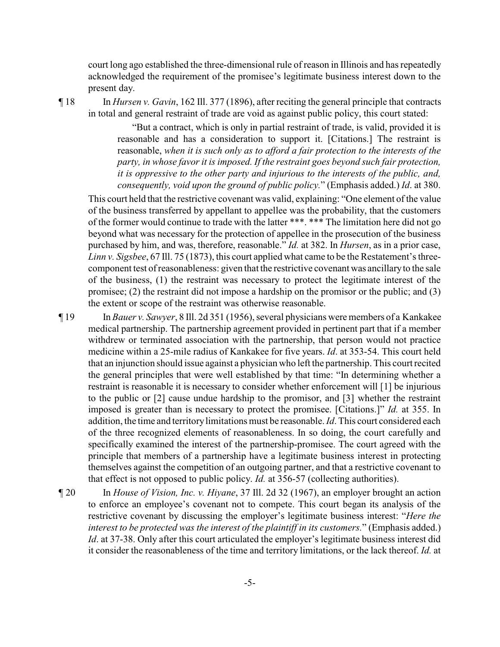court long ago established the three-dimensional rule of reason in Illinois and has repeatedly acknowledged the requirement of the promisee's legitimate business interest down to the present day.

¶ 18 In *Hursen v. Gavin*, 162 Ill. 377 (1896), after reciting the general principle that contracts in total and general restraint of trade are void as against public policy, this court stated:

> "But a contract, which is only in partial restraint of trade, is valid, provided it is reasonable and has a consideration to support it. [Citations.] The restraint is reasonable, *when it is such only as to afford a fair protection to the interests of the party, in whose favor it is imposed. If the restraint goes beyond such fair protection, it is oppressive to the other party and injurious to the interests of the public, and, consequently, void upon the ground of public policy.*" (Emphasis added.) *Id*. at 380.

This court held that the restrictive covenant was valid, explaining: "One element of the value of the business transferred by appellant to appellee was the probability, that the customers of the former would continue to trade with the latter \*\*\*. \*\*\* The limitation here did not go beyond what was necessary for the protection of appellee in the prosecution of the business purchased by him, and was, therefore, reasonable." *Id.* at 382. In *Hursen*, as in a prior case, *Linn v. Sigsbee*, 67 Ill. 75 (1873), this court applied what came to be the Restatement's threecomponent test of reasonableness: given that the restrictive covenant was ancillaryto the sale of the business, (1) the restraint was necessary to protect the legitimate interest of the promisee; (2) the restraint did not impose a hardship on the promisor or the public; and (3) the extent or scope of the restraint was otherwise reasonable.

¶ 19 In *Bauer v. Sawyer*, 8 Ill. 2d 351 (1956), several physicians were members of a Kankakee medical partnership. The partnership agreement provided in pertinent part that if a member withdrew or terminated association with the partnership, that person would not practice medicine within a 25-mile radius of Kankakee for five years. *Id*. at 353-54. This court held that an injunction should issue against a physician who left the partnership. This court recited the general principles that were well established by that time: "In determining whether a restraint is reasonable it is necessary to consider whether enforcement will [1] be injurious to the public or [2] cause undue hardship to the promisor, and [3] whether the restraint imposed is greater than is necessary to protect the promisee. [Citations.]" *Id.* at 355. In addition, the time and territorylimitations must be reasonable. *Id*. This court considered each of the three recognized elements of reasonableness. In so doing, the court carefully and specifically examined the interest of the partnership-promisee. The court agreed with the principle that members of a partnership have a legitimate business interest in protecting themselves against the competition of an outgoing partner, and that a restrictive covenant to that effect is not opposed to public policy. *Id.* at 356-57 (collecting authorities).

¶ 20 In *House of Vision, Inc. v. Hiyane*, 37 Ill. 2d 32 (1967), an employer brought an action to enforce an employee's covenant not to compete. This court began its analysis of the restrictive covenant by discussing the employer's legitimate business interest: "*Here the interest to be protected was the interest of the plaintiff in its customers.*" (Emphasis added.) *Id.* at 37-38. Only after this court articulated the employer's legitimate business interest did it consider the reasonableness of the time and territory limitations, or the lack thereof. *Id.* at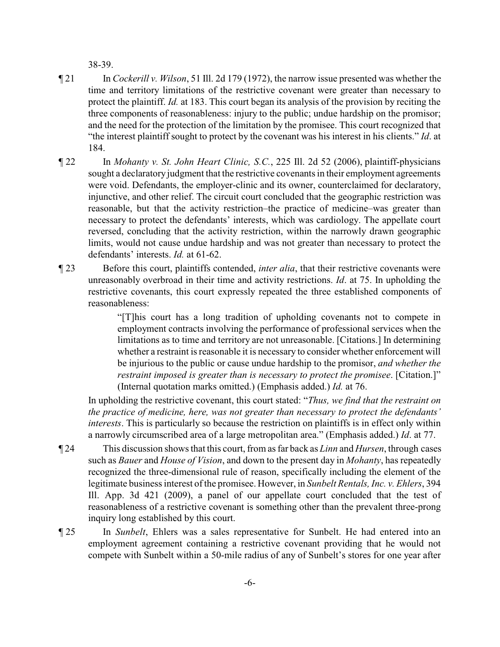38-39.

- ¶ 21 In *Cockerill v. Wilson*, 51 Ill. 2d 179 (1972), the narrow issue presented was whether the time and territory limitations of the restrictive covenant were greater than necessary to protect the plaintiff. *Id.* at 183. This court began its analysis of the provision by reciting the three components of reasonableness: injury to the public; undue hardship on the promisor; and the need for the protection of the limitation by the promisee. This court recognized that "the interest plaintiff sought to protect by the covenant was his interest in his clients." *Id*. at 184.
- ¶ 22 In *Mohanty v. St. John Heart Clinic, S.C.*, 225 Ill. 2d 52 (2006), plaintiff-physicians sought a declaratory judgment that the restrictive covenants in their employment agreements were void. Defendants, the employer-clinic and its owner, counterclaimed for declaratory, injunctive, and other relief. The circuit court concluded that the geographic restriction was reasonable, but that the activity restriction–the practice of medicine–was greater than necessary to protect the defendants' interests, which was cardiology. The appellate court reversed, concluding that the activity restriction, within the narrowly drawn geographic limits, would not cause undue hardship and was not greater than necessary to protect the defendants' interests. *Id.* at 61-62.
- ¶ 23 Before this court, plaintiffs contended, *inter alia*, that their restrictive covenants were unreasonably overbroad in their time and activity restrictions. *Id*. at 75. In upholding the restrictive covenants, this court expressly repeated the three established components of reasonableness:

"[T]his court has a long tradition of upholding covenants not to compete in employment contracts involving the performance of professional services when the limitations as to time and territory are not unreasonable. [Citations.] In determining whether a restraint is reasonable it is necessary to consider whether enforcement will be injurious to the public or cause undue hardship to the promisor, *and whether the restraint imposed is greater than is necessary to protect the promisee*. [Citation.]" (Internal quotation marks omitted.) (Emphasis added.) *Id.* at 76.

In upholding the restrictive covenant, this court stated: "*Thus, we find that the restraint on the practice of medicine, here, was not greater than necessary to protect the defendants' interests*. This is particularly so because the restriction on plaintiffs is in effect only within a narrowly circumscribed area of a large metropolitan area." (Emphasis added.) *Id*. at 77.

- ¶ 24 This discussion shows that this court, from as far back as *Linn* and *Hursen*, through cases such as *Bauer* and *House of Vision*, and down to the present day in *Mohanty*, has repeatedly recognized the three-dimensional rule of reason, specifically including the element of the legitimate business interest of the promisee. However, in *Sunbelt Rentals, Inc. v. Ehlers*, 394 Ill. App. 3d 421 (2009), a panel of our appellate court concluded that the test of reasonableness of a restrictive covenant is something other than the prevalent three-prong inquiry long established by this court.
- ¶ 25 In *Sunbelt*, Ehlers was a sales representative for Sunbelt. He had entered into an employment agreement containing a restrictive covenant providing that he would not compete with Sunbelt within a 50-mile radius of any of Sunbelt's stores for one year after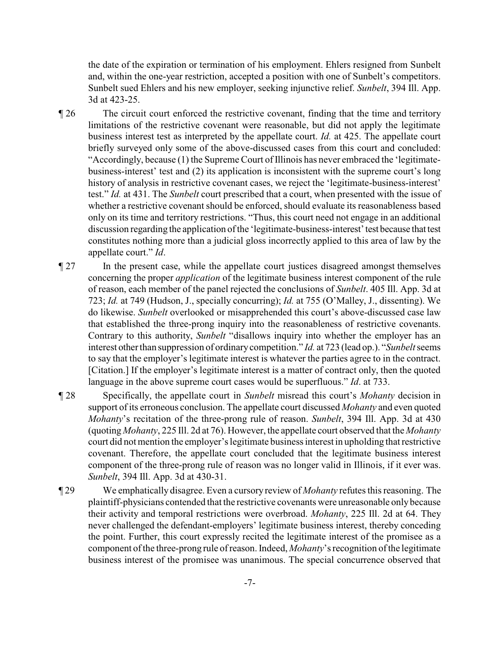the date of the expiration or termination of his employment. Ehlers resigned from Sunbelt and, within the one-year restriction, accepted a position with one of Sunbelt's competitors. Sunbelt sued Ehlers and his new employer, seeking injunctive relief. *Sunbelt*, 394 Ill. App. 3d at 423-25.

- ¶ 26 The circuit court enforced the restrictive covenant, finding that the time and territory limitations of the restrictive covenant were reasonable, but did not apply the legitimate business interest test as interpreted by the appellate court. *Id.* at 425. The appellate court briefly surveyed only some of the above-discussed cases from this court and concluded: "Accordingly, because (1) the Supreme Court of Illinois has never embraced the 'legitimatebusiness-interest' test and (2) its application is inconsistent with the supreme court's long history of analysis in restrictive covenant cases, we reject the 'legitimate-business-interest' test." *Id.* at 431. The *Sunbelt* court prescribed that a court, when presented with the issue of whether a restrictive covenant should be enforced, should evaluate its reasonableness based only on its time and territory restrictions. "Thus, this court need not engage in an additional discussion regarding the application of the 'legitimate-business-interest'test because that test constitutes nothing more than a judicial gloss incorrectly applied to this area of law by the appellate court." *Id*.
- ¶ 27 In the present case, while the appellate court justices disagreed amongst themselves concerning the proper *application* of the legitimate business interest component of the rule of reason, each member of the panel rejected the conclusions of *Sunbelt*. 405 Ill. App. 3d at 723; *Id.* at 749 (Hudson, J., specially concurring); *Id.* at 755 (O'Malley, J., dissenting). We do likewise. *Sunbelt* overlooked or misapprehended this court's above-discussed case law that established the three-prong inquiry into the reasonableness of restrictive covenants. Contrary to this authority, *Sunbelt* "disallows inquiry into whether the employer has an interest other than suppression of ordinarycompetition." *Id.* at 723 (lead op.). "*Sunbelt*seems to say that the employer's legitimate interest is whatever the parties agree to in the contract. [Citation.] If the employer's legitimate interest is a matter of contract only, then the quoted language in the above supreme court cases would be superfluous." *Id*. at 733.
- ¶ 28 Specifically, the appellate court in *Sunbelt* misread this court's *Mohanty* decision in support of its erroneous conclusion. The appellate court discussed *Mohanty* and even quoted *Mohanty*'s recitation of the three-prong rule of reason. *Sunbelt*, 394 Ill. App. 3d at 430 (quoting *Mohanty*, 225 Ill. 2d at 76). However, the appellate court observed that the *Mohanty* court did not mention the employer's legitimate business interest in upholding that restrictive covenant. Therefore, the appellate court concluded that the legitimate business interest component of the three-prong rule of reason was no longer valid in Illinois, if it ever was. *Sunbelt*, 394 Ill. App. 3d at 430-31.
- ¶ 29 We emphatically disagree. Even a cursory review of *Mohanty* refutes this reasoning. The plaintiff-physicians contended that the restrictive covenants were unreasonable onlybecause their activity and temporal restrictions were overbroad. *Mohanty*, 225 Ill. 2d at 64. They never challenged the defendant-employers' legitimate business interest, thereby conceding the point. Further, this court expressly recited the legitimate interest of the promisee as a component of the three-prong rule of reason. Indeed, *Mohanty*'s recognition of the legitimate business interest of the promisee was unanimous. The special concurrence observed that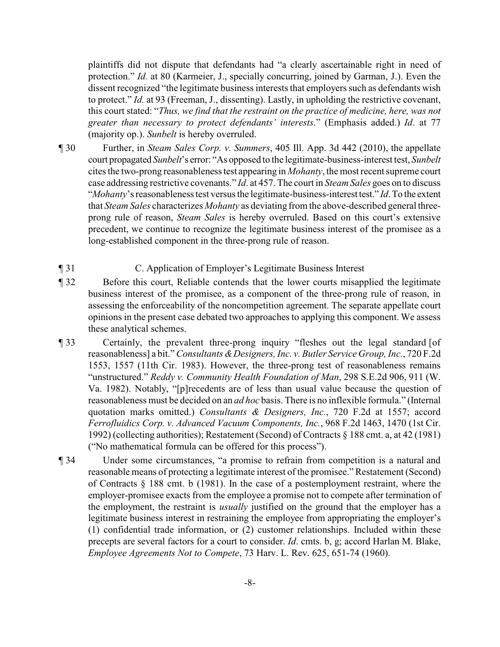plaintiffs did not dispute that defendants had "a clearly ascertainable right in need of protection." *Id.* at 80 (Karmeier, J., specially concurring, joined by Garman, J.). Even the dissent recognized "the legitimate business interests that employers such as defendants wish to protect." *Id.* at 93 (Freeman, J., dissenting). Lastly, in upholding the restrictive covenant, this court stated: "*Thus, we find that the restraint on the practice of medicine, here, was not greater than necessary to protect defendants' interests*." (Emphasis added.) *Id*. at 77 (majority op.). *Sunbelt* is hereby overruled.

- ¶ 30 Further, in *Steam Sales Corp. v. Summers*, 405 Ill. App. 3d 442 (2010), the appellate court propagated *Sunbelt*'s error: "As opposed to the legitimate-business-interest test, *Sunbelt* cites the two-prong reasonableness test appearing in *Mohanty*, the most recent supreme court case addressing restrictive covenants." *Id*. at 457. The court in *Steam Sales* goes on to discuss "*Mohanty*'s reasonableness test versus the legitimate-business-interest test." *Id*.To the extent that *Steam Sales* characterizes *Mohanty* as deviating from the above-described general threeprong rule of reason, *Steam Sales* is hereby overruled. Based on this court's extensive precedent, we continue to recognize the legitimate business interest of the promisee as a long-established component in the three-prong rule of reason.
- ¶ 31 C. Application of Employer's Legitimate Business Interest
- ¶ 32 Before this court, Reliable contends that the lower courts misapplied the legitimate business interest of the promisee, as a component of the three-prong rule of reason, in assessing the enforceability of the noncompetition agreement. The separate appellate court opinions in the present case debated two approaches to applying this component. We assess these analytical schemes.
- ¶ 33 Certainly, the prevalent three-prong inquiry "fleshes out the legal standard [of reasonableness] a bit." *Consultants & Designers, Inc. v. Butler Service Group, Inc.*, 720 F.2d 1553, 1557 (11th Cir. 1983). However, the three-prong test of reasonableness remains "unstructured." *Reddy v. Community Health Foundation of Man*, 298 S.E.2d 906, 911 (W. Va. 1982). Notably, "[p]recedents are of less than usual value because the question of reasonableness must be decided on an *ad hoc* basis. There is no inflexible formula." (Internal quotation marks omitted.) *Consultants & Designers, Inc.*, 720 F.2d at 1557; accord *Ferrofluidics Corp. v. Advanced Vacuum Components, Inc.*, 968 F.2d 1463, 1470 (1st Cir. 1992) (collecting authorities); Restatement (Second) of Contracts § 188 cmt. a, at 42 (1981) ("No mathematical formula can be offered for this process").
- ¶ 34 Under some circumstances, "a promise to refrain from competition is a natural and reasonable means of protecting a legitimate interest of the promisee." Restatement (Second) of Contracts § 188 cmt. b (1981). In the case of a postemployment restraint, where the employer-promisee exacts from the employee a promise not to compete after termination of the employment, the restraint is *usually* justified on the ground that the employer has a legitimate business interest in restraining the employee from appropriating the employer's (1) confidential trade information, or (2) customer relationships. Included within these precepts are several factors for a court to consider. *Id*. cmts. b, g; accord Harlan M. Blake, *Employee Agreements Not to Compete*, 73 Harv. L. Rev. 625, 651-74 (1960).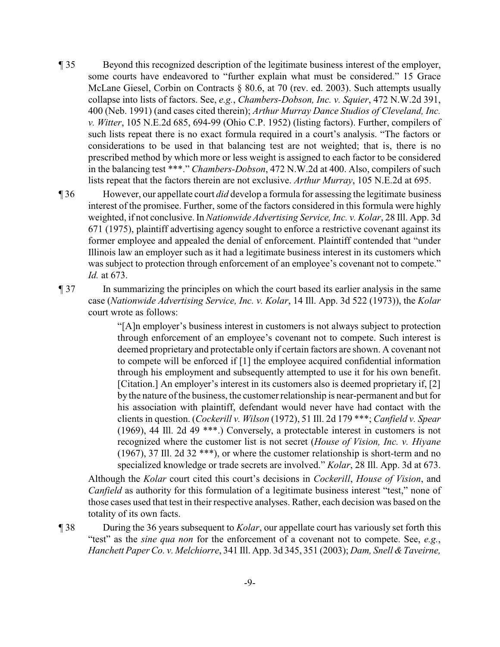¶ 35 Beyond this recognized description of the legitimate business interest of the employer, some courts have endeavored to "further explain what must be considered." 15 Grace McLane Giesel, Corbin on Contracts § 80.6, at 70 (rev. ed. 2003). Such attempts usually collapse into lists of factors. See, *e.g.*, *Chambers-Dobson, Inc. v. Squier*, 472 N.W.2d 391, 400 (Neb. 1991) (and cases cited therein); *Arthur Murray Dance Studios of Cleveland, Inc. v. Witter*, 105 N.E.2d 685, 694-99 (Ohio C.P. 1952) (listing factors). Further, compilers of such lists repeat there is no exact formula required in a court's analysis. "The factors or considerations to be used in that balancing test are not weighted; that is, there is no prescribed method by which more or less weight is assigned to each factor to be considered in the balancing test \*\*\*." *Chambers-Dobson*, 472 N.W.2d at 400. Also, compilers of such lists repeat that the factors therein are not exclusive. *Arthur Murray*, 105 N.E.2d at 695.

¶ 36 However, our appellate court *did* develop a formula for assessing the legitimate business interest of the promisee. Further, some of the factors considered in this formula were highly weighted, if not conclusive. In *Nationwide Advertising Service, Inc. v. Kolar*, 28 Ill. App. 3d 671 (1975), plaintiff advertising agency sought to enforce a restrictive covenant against its former employee and appealed the denial of enforcement. Plaintiff contended that "under Illinois law an employer such as it had a legitimate business interest in its customers which was subject to protection through enforcement of an employee's covenant not to compete." *Id.* at 673.

¶ 37 In summarizing the principles on which the court based its earlier analysis in the same case (*Nationwide Advertising Service, Inc. v. Kolar*, 14 Ill. App. 3d 522 (1973)), the *Kolar* court wrote as follows:

> "[A]n employer's business interest in customers is not always subject to protection through enforcement of an employee's covenant not to compete. Such interest is deemed proprietary and protectable only if certain factors are shown. A covenant not to compete will be enforced if [1] the employee acquired confidential information through his employment and subsequently attempted to use it for his own benefit. [Citation.] An employer's interest in its customers also is deemed proprietary if, [2] by the nature of the business, the customer relationship is near-permanent and but for his association with plaintiff, defendant would never have had contact with the clients in question. (*Cockerill v. Wilson* (1972), 51 Ill. 2d 179 \*\*\*; *Canfield v. Spear* (1969), 44 Ill. 2d 49 \*\*\*.) Conversely, a protectable interest in customers is not recognized where the customer list is not secret (*House of Vision, Inc. v. Hiyane* (1967), 37 Ill. 2d 32 \*\*\*), or where the customer relationship is short-term and no specialized knowledge or trade secrets are involved." *Kolar*, 28 Ill. App. 3d at 673.

Although the *Kolar* court cited this court's decisions in *Cockerill*, *House of Vision*, and *Canfield* as authority for this formulation of a legitimate business interest "test," none of those cases used that test in their respective analyses. Rather, each decision was based on the totality of its own facts.

¶ 38 During the 36 years subsequent to *Kolar*, our appellate court has variously set forth this "test" as the *sine qua non* for the enforcement of a covenant not to compete. See, *e.g.*, *Hanchett Paper Co. v. Melchiorre*, 341 Ill. App. 3d 345, 351 (2003); *Dam, Snell &Taveirne,*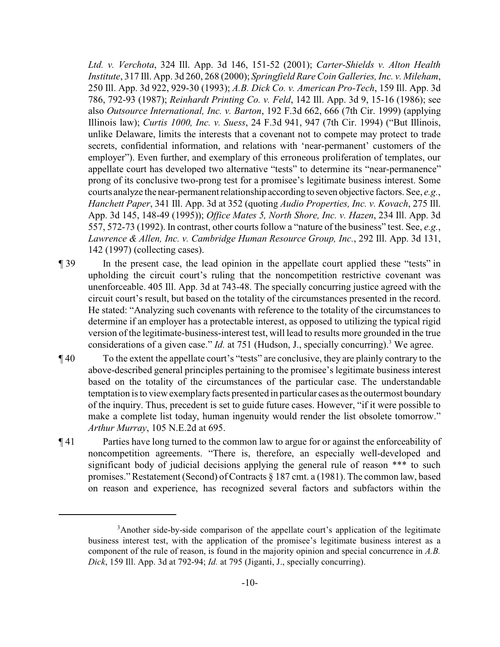*Ltd. v. Verchota*, 324 Ill. App. 3d 146, 151-52 (2001); *Carter-Shields v. Alton Health Institute*, 317 Ill. App. 3d 260, 268 (2000); *Springfield Rare Coin Galleries, Inc. v. Mileham*, 250 Ill. App. 3d 922, 929-30 (1993); *A.B. Dick Co. v. American Pro-Tech*, 159 Ill. App. 3d 786, 792-93 (1987); *Reinhardt Printing Co. v. Feld*, 142 Ill. App. 3d 9, 15-16 (1986); see also *Outsource International, Inc. v. Barton*, 192 F.3d 662, 666 (7th Cir. 1999) (applying Illinois law); *Curtis 1000, Inc. v. Suess*, 24 F.3d 941, 947 (7th Cir. 1994) ("But Illinois, unlike Delaware, limits the interests that a covenant not to compete may protect to trade secrets, confidential information, and relations with 'near-permanent' customers of the employer"). Even further, and exemplary of this erroneous proliferation of templates, our appellate court has developed two alternative "tests" to determine its "near-permanence" prong of its conclusive two-prong test for a promisee's legitimate business interest. Some courts analyze the near-permanent relationship according to seven objective factors. See, *e.g.*, *Hanchett Paper*, 341 Ill. App. 3d at 352 (quoting *Audio Properties, Inc. v. Kovach*, 275 Ill. App. 3d 145, 148-49 (1995)); *Office Mates 5, North Shore, Inc. v. Hazen*, 234 Ill. App. 3d 557, 572-73 (1992). In contrast, other courts follow a "nature of the business" test. See, *e.g.*, *Lawrence & Allen, Inc. v. Cambridge Human Resource Group, Inc.*, 292 Ill. App. 3d 131, 142 (1997) (collecting cases).

- ¶ 39 In the present case, the lead opinion in the appellate court applied these "tests" in upholding the circuit court's ruling that the noncompetition restrictive covenant was unenforceable. 405 Ill. App. 3d at 743-48. The specially concurring justice agreed with the circuit court's result, but based on the totality of the circumstances presented in the record. He stated: "Analyzing such covenants with reference to the totality of the circumstances to determine if an employer has a protectable interest, as opposed to utilizing the typical rigid version of the legitimate-business-interest test, will lead to results more grounded in the true considerations of a given case." *Id.* at 751 (Hudson, J., specially concurring).<sup>3</sup> We agree.
- ¶ 40 To the extent the appellate court's "tests" are conclusive, they are plainly contrary to the above-described general principles pertaining to the promisee's legitimate business interest based on the totality of the circumstances of the particular case. The understandable temptation is to view exemplaryfacts presented in particular cases as the outermost boundary of the inquiry. Thus, precedent is set to guide future cases. However, "if it were possible to make a complete list today, human ingenuity would render the list obsolete tomorrow." *Arthur Murray*, 105 N.E.2d at 695.
- ¶ 41 Parties have long turned to the common law to argue for or against the enforceability of noncompetition agreements. "There is, therefore, an especially well-developed and significant body of judicial decisions applying the general rule of reason \*\*\* to such promises." Restatement (Second) of Contracts § 187 cmt. a (1981). The common law, based on reason and experience, has recognized several factors and subfactors within the

<sup>&</sup>lt;sup>3</sup> Another side-by-side comparison of the appellate court's application of the legitimate business interest test, with the application of the promisee's legitimate business interest as a component of the rule of reason, is found in the majority opinion and special concurrence in *A.B. Dick*, 159 Ill. App. 3d at 792-94; *Id.* at 795 (Jiganti, J., specially concurring).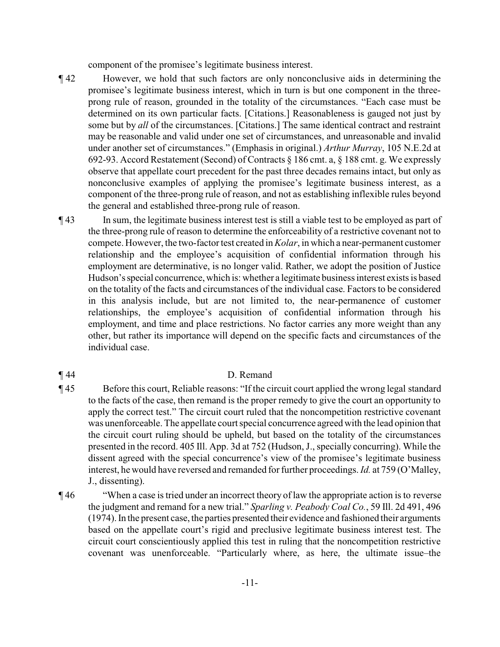component of the promisee's legitimate business interest.

- ¶ 42 However, we hold that such factors are only nonconclusive aids in determining the promisee's legitimate business interest, which in turn is but one component in the threeprong rule of reason, grounded in the totality of the circumstances. "Each case must be determined on its own particular facts. [Citations.] Reasonableness is gauged not just by some but by *all* of the circumstances. [Citations.] The same identical contract and restraint may be reasonable and valid under one set of circumstances, and unreasonable and invalid under another set of circumstances." (Emphasis in original.) *Arthur Murray*, 105 N.E.2d at 692-93. Accord Restatement (Second) of Contracts § 186 cmt. a, § 188 cmt. g. We expressly observe that appellate court precedent for the past three decades remains intact, but only as nonconclusive examples of applying the promisee's legitimate business interest, as a component of the three-prong rule of reason, and not as establishing inflexible rules beyond the general and established three-prong rule of reason.
- ¶ 43 In sum, the legitimate business interest test is still a viable test to be employed as part of the three-prong rule of reason to determine the enforceability of a restrictive covenant not to compete. However, the two-factor test created in *Kolar*, in which a near-permanent customer relationship and the employee's acquisition of confidential information through his employment are determinative, is no longer valid. Rather, we adopt the position of Justice Hudson'sspecial concurrence, which is: whether a legitimate business interest exists is based on the totality of the facts and circumstances of the individual case. Factors to be considered in this analysis include, but are not limited to, the near-permanence of customer relationships, the employee's acquisition of confidential information through his employment, and time and place restrictions. No factor carries any more weight than any other, but rather its importance will depend on the specific facts and circumstances of the individual case.

## ¶ 44 D. Remand

- ¶ 45 Before this court, Reliable reasons: "If the circuit court applied the wrong legal standard to the facts of the case, then remand is the proper remedy to give the court an opportunity to apply the correct test." The circuit court ruled that the noncompetition restrictive covenant was unenforceable. The appellate court special concurrence agreed with the lead opinion that the circuit court ruling should be upheld, but based on the totality of the circumstances presented in the record. 405 Ill. App. 3d at 752 (Hudson, J., specially concurring). While the dissent agreed with the special concurrence's view of the promisee's legitimate business interest, he would have reversed and remanded for further proceedings. *Id.* at 759 (O'Malley, J., dissenting).
- ¶ 46 "When a case is tried under an incorrect theory of law the appropriate action is to reverse the judgment and remand for a new trial." *Sparling v. Peabody Coal Co.*, 59 Ill. 2d 491, 496 (1974). In the present case, the parties presented their evidence and fashioned their arguments based on the appellate court's rigid and preclusive legitimate business interest test. The circuit court conscientiously applied this test in ruling that the noncompetition restrictive covenant was unenforceable. "Particularly where, as here, the ultimate issue–the